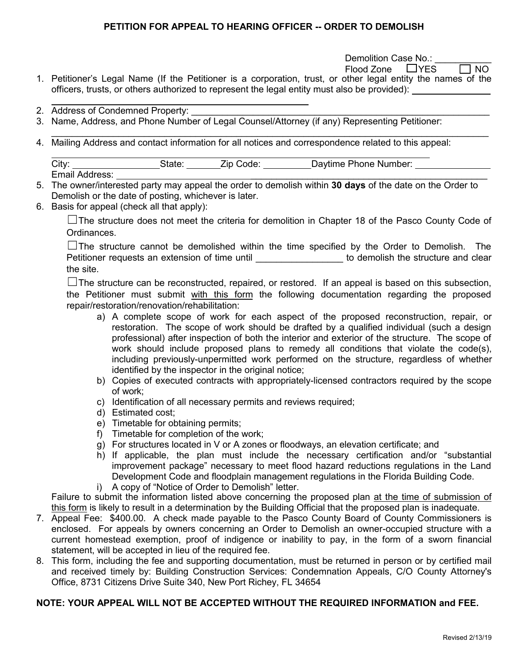Demolition Case No.:

 $F$ lood Zone  $\Box$  YES  $\Box$  NO

- 1. Petitioner's Legal Name (If the Petitioner is a corporation, trust, or other legal entity the names of the officers, trusts, or others authorized to represent the legal entity must also be provided):
- 2. Address of Condemned Property:
- 3. Name, Address, and Phone Number of Legal Counsel/Attorney (if any) Representing Petitioner:
- \_\_\_\_\_\_\_\_\_\_\_\_\_\_\_\_\_\_\_\_\_\_\_\_\_\_\_\_\_\_\_\_\_\_\_\_\_\_\_\_\_\_\_\_\_\_\_\_\_\_\_\_\_\_\_\_\_\_\_\_\_\_\_\_\_\_\_\_\_\_\_\_\_\_\_\_\_\_\_\_\_\_\_\_\_ 4. Mailing Address and contact information for all notices and correspondence related to this appeal:

| City:                   | . . <i>. .</i><br>ιαισ | ode:<br>∠lD⊹ | Number:<br>Phone<br><b>Pavtime</b> |  |
|-------------------------|------------------------|--------------|------------------------------------|--|
| Email<br>ldress:<br>Au( |                        |              |                                    |  |

- 5. The owner/interested party may appeal the order to demolish within **30 days** of the date on the Order to Demolish or the date of posting, whichever is later.
- 6. Basis for appeal (check all that apply):

 ☐The structure does not meet the criteria for demolition in Chapter 18 of the Pasco County Code of Ordinances.

Petitioner requests an extension of time until \_\_\_\_\_\_\_\_\_\_\_\_\_\_\_\_\_\_\_\_\_ to demolish the structure and clear  $\square$  The structure cannot be demolished within the time specified by the Order to Demolish. The the site.

 ☐The structure can be reconstructed, repaired, or restored. If an appeal is based on this subsection, the Petitioner must submit with this form the following documentation regarding the proposed repair/restoration/renovation/rehabilitation:

- restoration. The scope of work should be drafted by a qualified individual (such a design professional) after inspection of both the interior and exterior of the structure. The scope of work should include proposed plans to remedy all conditions that violate the code(s), a) A complete scope of work for each aspect of the proposed reconstruction, repair, or including previously-unpermitted work performed on the structure, regardless of whether identified by the inspector in the original notice;
- b) Copies of executed contracts with appropriately-licensed contractors required by the scope of work;
- c) Identification of all necessary permits and reviews required;
- d) Estimated cost;
- e) Timetable for obtaining permits;
- f) Timetable for completion of the work;
- g) For structures located in V or A zones or floodways, an elevation certificate; and
- h) If applicable, the plan must include the necessary certification and/or "substantial improvement package" necessary to meet flood hazard reductions regulations in the Land Development Code and floodplain management regulations in the Florida Building Code.
- i) A copy of "Notice of Order to Demolish" letter.

Failure to submit the information listed above concerning the proposed plan at the time of submission of this form is likely to result in a determination by the Building Official that the proposed plan is inadequate.

- 7. Appeal Fee: \$400.00. A check made payable to the Pasco County Board of County Commissioners is enclosed. For appeals by owners concerning an Order to Demolish an owner-occupied structure with a current homestead exemption, proof of indigence or inability to pay, in the form of a sworn financial statement, will be accepted in lieu of the required fee.
- and received timely by: Building Construction Services: Condemnation Appeals, C/O County Attorney's Office, 8731 Citizens Drive Suite 340, New Port Richey, FL 34654 8. This form, including the fee and supporting documentation, must be returned in person or by certified mail

## **NOTE: YOUR APPEAL WILL NOT BE ACCEPTED WITHOUT THE REQUIRED INFORMATION and FEE.**